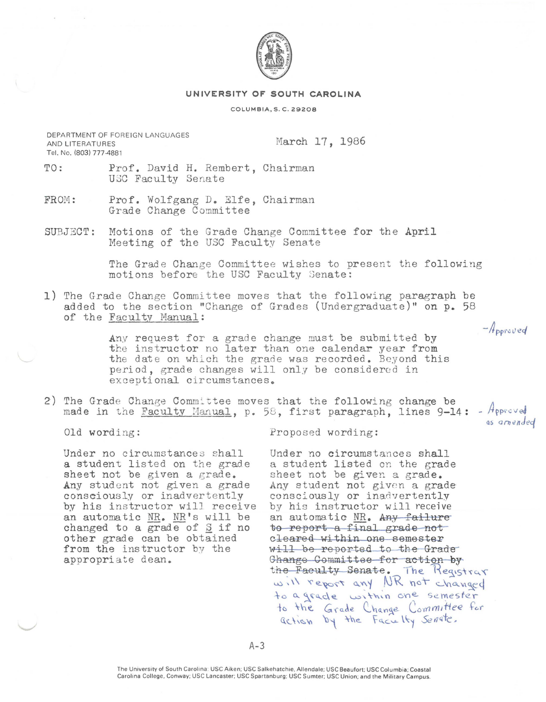

## **UNIVERSITY OF SOUTH CAROLINA**

## COLUMBIA, S. C. 29208

DEPARTMENT OF FOREIGN LANGUAGES AND LITERATURES Tel. No. (803) 777-4881

March 17, 1986

- TO: Prof. David H. Rembert, Chairman USC Faculty Senate
- FROM: Prof. Wolfgang D. Elfe, Chairman Grade Change Committee
- SUBJ ECT: Motions of the Grade Change Committee for the April Meeting of the USC Faculty Senate

The Grade Change Committee wishes to present the following motions before the USC Faculty Senate:

1) The Grade Change Committee moves that the following paragraph be added to the section "Change of Grades (Undergraduate)" on p. 58 of the Faculty Manual:

> Any request for a grade change must be submitted by the instructor no later than one calendar year from the date on which the grade was recorded. Beyond this period, grade changes will only be considered in exceptional circumstances.

2) The Grade Change Committee moves that the following change be made in the Faculty Manual, p. 58, first paragraph, lines  $9-14:$  - Approved

Old wording:

Proposed wording:

Under no circumstances shall a student listed on the grade sheet not be given a grade. Any student not given a grade consciously or inadvertently by his instructor will receive an automatic  $MR$ .  $MR's$  will be changed to a grade of  $\S$  if no other grade can be obtained from the instructor by the appropriate dean.

Under no circumstances shall a student listed on the grade sheet not be given a grade. Any student not given a grade consciously or inadvertently by his instructor will receive an automatic NR. Any failure to report a final grade not cleared within one semester will be reported to the Grade Ghange Committee for action by  $the$  Faculty Senate. The Reqistrar will report any NR not changed to a grade within one semester to the Grade Change Committee for action by the Facialty Senate.

 $A-3$ 

 $-A_{\text{porolved}}$ 

as *onio111Jec(*